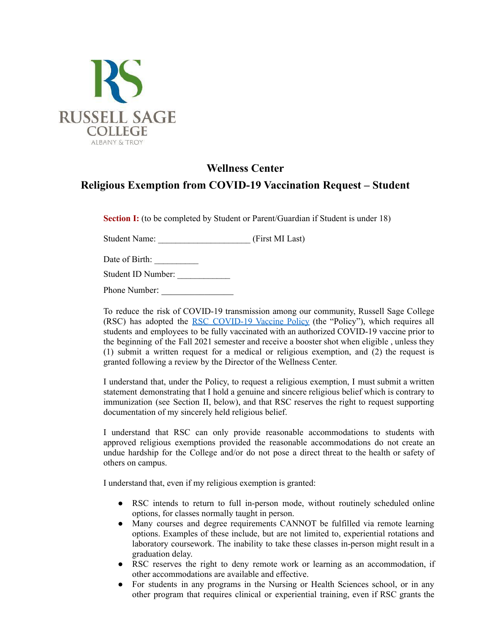

## **Wellness Center Religious Exemption from COVID-19 Vaccination Request – Student**

**Section I:** (to be completed by Student or Parent/Guardian if Student is under 18)

Student Name: \_\_\_\_\_\_\_\_\_\_\_\_\_\_\_\_\_\_\_\_\_ (First MI Last)

Date of Birth:

Student ID Number: \_\_\_\_\_\_\_\_\_\_\_\_

Phone Number:

To reduce the risk of COVID-19 transmission among our community, Russell Sage College (RSC) has adopted the RSC [COVID-19](https://sites.google.com/sage.edu/covid19/updates) Vaccine Policy (the "Policy"), which requires all students and employees to be fully vaccinated with an authorized COVID-19 vaccine prior to the beginning of the Fall 2021 semester and receive a booster shot when eligible , unless they (1) submit a written request for a medical or religious exemption, and (2) the request is granted following a review by the Director of the Wellness Center.

I understand that, under the Policy, to request a religious exemption, I must submit a written statement demonstrating that I hold a genuine and sincere religious belief which is contrary to immunization (see Section II, below), and that RSC reserves the right to request supporting documentation of my sincerely held religious belief.

I understand that RSC can only provide reasonable accommodations to students with approved religious exemptions provided the reasonable accommodations do not create an undue hardship for the College and/or do not pose a direct threat to the health or safety of others on campus.

I understand that, even if my religious exemption is granted:

- RSC intends to return to full in-person mode, without routinely scheduled online options, for classes normally taught in person.
- Many courses and degree requirements CANNOT be fulfilled via remote learning options. Examples of these include, but are not limited to, experiential rotations and laboratory coursework. The inability to take these classes in-person might result in a graduation delay.
- RSC reserves the right to deny remote work or learning as an accommodation, if other accommodations are available and effective.
- For students in any programs in the Nursing or Health Sciences school, or in any other program that requires clinical or experiential training, even if RSC grants the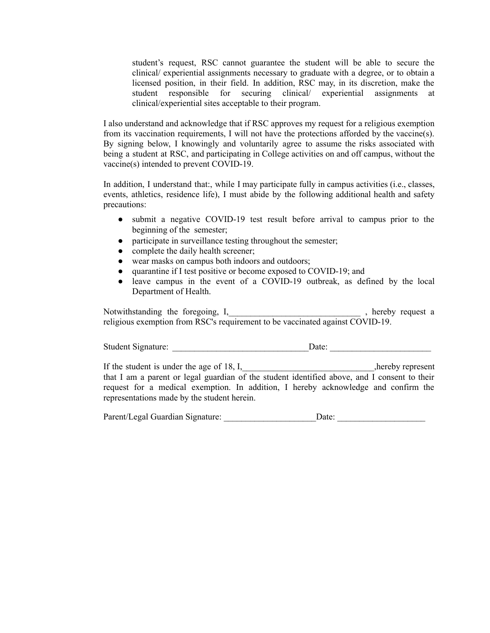student's request, RSC cannot guarantee the student will be able to secure the clinical/ experiential assignments necessary to graduate with a degree, or to obtain a licensed position, in their field. In addition, RSC may, in its discretion, make the student responsible for securing clinical/ experiential assignments at clinical/experiential sites acceptable to their program.

I also understand and acknowledge that if RSC approves my request for a religious exemption from its vaccination requirements, I will not have the protections afforded by the vaccine(s). By signing below, I knowingly and voluntarily agree to assume the risks associated with being a student at RSC, and participating in College activities on and off campus, without the vaccine(s) intended to prevent COVID-19.

In addition, I understand that:, while I may participate fully in campus activities (i.e., classes, events, athletics, residence life), I must abide by the following additional health and safety precautions:

- submit a negative COVID-19 test result before arrival to campus prior to the beginning of the semester;
- participate in surveillance testing throughout the semester;
- complete the daily health screener;
- wear masks on campus both indoors and outdoors;
- quarantine if I test positive or become exposed to COVID-19; and
- leave campus in the event of a COVID-19 outbreak, as defined by the local Department of Health.

Notwithstanding the foregoing, I,\_\_\_\_\_\_\_\_\_\_\_\_\_\_\_\_\_\_\_\_\_\_\_\_\_\_\_\_\_\_ , hereby request a religious exemption from RSC's requirement to be vaccinated against COVID-19.

Student Signature: \_\_\_\_\_\_\_\_\_\_\_\_\_\_\_\_\_\_\_\_\_\_\_\_\_\_\_\_\_\_\_Date: \_\_\_\_\_\_\_\_\_\_\_\_\_\_\_\_\_\_\_\_\_\_\_

If the student is under the age of 18, I, hereby represent hereby represent that I am a parent or legal guardian of the student identified above, and I consent to their request for a medical exemption. In addition, I hereby acknowledge and confirm the representations made by the student herein.

Parent/Legal Guardian Signature: <br>
Date: Date: